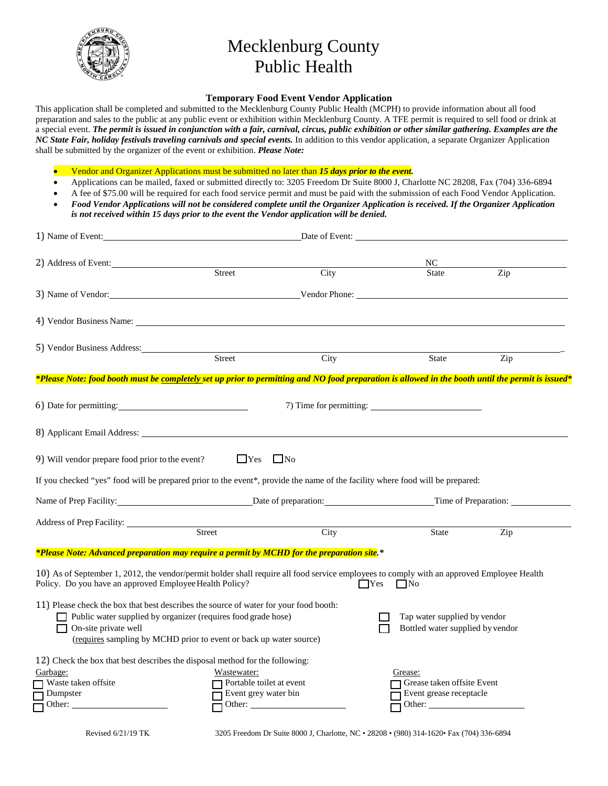

## Mecklenburg County Public Health

## **Temporary Food Event Vendor Application**

This application shall be completed and submitted to the Mecklenburg County Public Health (MCPH) to provide information about all food preparation and sales to the public at any public event or exhibition within Mecklenburg County. A TFE permit is required to sell food or drink at a special event. *The permit is issued in conjunction with a fair, carnival, circus, public exhibition or other similar gathering. Examples are the NC State Fair, holiday festivals traveling carnivals and special events.* In addition to this vendor application, a separate Organizer Application shall be submitted by the organizer of the event or exhibition. *Please Note:*

• Vendor and Organizer Applications must be submitted no later than *15 days prior to the event.*

- Applications can be mailed, faxed or submitted directly to: 3205 Freedom Dr Suite 8000 J, Charlotte NC 28208, Fax (704) 336-6894
- A fee of \$75.00 will be required for each food service permit and must be paid with the submission of each Food Vendor Application.
- *Food Vendor Applications will not be considered complete until the Organizer Application is received. If the Organizer Application is not received within 15 days prior to the event the Vendor application will be denied.*

| 1) Name of Event:                                                                                                                                                                                                             |                                                                                                                                     | Date of Event: |                                                                  |     |  |
|-------------------------------------------------------------------------------------------------------------------------------------------------------------------------------------------------------------------------------|-------------------------------------------------------------------------------------------------------------------------------------|----------------|------------------------------------------------------------------|-----|--|
| 2) Address of Event:                                                                                                                                                                                                          | Street                                                                                                                              | City           | NC<br>State                                                      | Zip |  |
|                                                                                                                                                                                                                               |                                                                                                                                     |                |                                                                  |     |  |
|                                                                                                                                                                                                                               |                                                                                                                                     |                |                                                                  |     |  |
| 5) Vendor Business Address: Street                                                                                                                                                                                            |                                                                                                                                     | City           | State                                                            | Zip |  |
| *Please Note: food booth must be <u>completely s</u> et up prior to permitting and NO food preparation is allowed in the booth until the permit is issued*                                                                    |                                                                                                                                     |                |                                                                  |     |  |
| 6) Date for permitting:                                                                                                                                                                                                       |                                                                                                                                     |                |                                                                  |     |  |
| 8) Applicant Email Address: Application of the state of the state of the state of the state of the state of the state of the state of the state of the state of the state of the state of the state of the state of the state |                                                                                                                                     |                |                                                                  |     |  |
| 9) Will vendor prepare food prior to the event?                                                                                                                                                                               | $\Box$ Yes $\Box$ No                                                                                                                |                |                                                                  |     |  |
| If you checked "yes" food will be prepared prior to the event*, provide the name of the facility where food will be prepared:                                                                                                 |                                                                                                                                     |                |                                                                  |     |  |
|                                                                                                                                                                                                                               | Name of Prep Facility: <u>Date of preparation:</u> Date of preparation: Time of Preparation:                                        |                |                                                                  |     |  |
|                                                                                                                                                                                                                               | Street                                                                                                                              | City           | State                                                            | Zip |  |
| *Please Note: Advanced preparation may require a permit by MCHD for the preparation site.*                                                                                                                                    |                                                                                                                                     |                |                                                                  |     |  |
| 10) As of September 1, 2012, the vendor/permit holder shall require all food service employees to comply with an approved Employee Health<br>Policy. Do you have an approved Employee Health Policy?                          |                                                                                                                                     | $\Box$ Yes     | $\Box$ No                                                        |     |  |
| 11) Please check the box that best describes the source of water for your food booth:<br>On-site private well                                                                                                                 | Public water supplied by organizer (requires food grade hose)<br>(requires sampling by MCHD prior to event or back up water source) |                | Tap water supplied by vendor<br>Bottled water supplied by vendor |     |  |
| 12) Check the box that best describes the disposal method for the following:<br>Garbage:<br>Waste taken offsite<br>Dumpster<br>Other:                                                                                         | Wastewater:<br>Portable toilet at event<br>Event grey water bin                                                                     | Other:         | Grease:<br>Grease taken offsite Event<br>Event grease receptacle |     |  |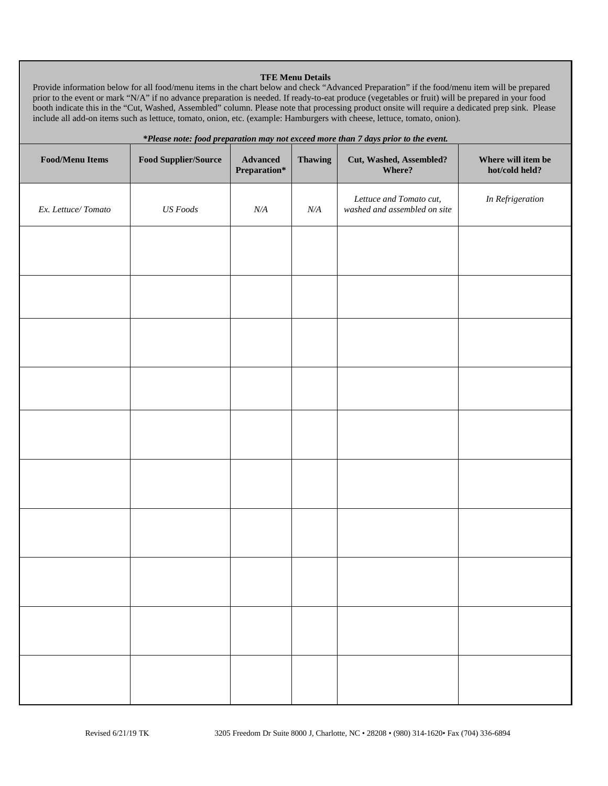### **TFE Menu Details**

Provide information below for all food/menu items in the chart below and check "Advanced Preparation" if the food/menu item will be prepared prior to the event or mark "N/A" if no advance preparation is needed. If ready-to-eat produce (vegetables or fruit) will be prepared in your food booth indicate this in the "Cut, Washed, Assembled" column. Please note that processing product onsite will require a dedicated prep sink. Please include all add-on items such as lettuce, tomato, onion, etc. (example: Hamburgers with cheese, lettuce, tomato, onion).

| *Please note: food preparation may not exceed more than 7 days prior to the event. |                             |                          |                |                                                         |                                      |
|------------------------------------------------------------------------------------|-----------------------------|--------------------------|----------------|---------------------------------------------------------|--------------------------------------|
| <b>Food/Menu Items</b>                                                             | <b>Food Supplier/Source</b> | Advanced<br>Preparation* | <b>Thawing</b> | Cut, Washed, Assembled?<br>Where?                       | Where will item be<br>hot/cold held? |
| Ex. Lettuce/Tomato                                                                 | <b>US</b> Foods             | $N\!/\!A$                | $N\!/\!A$      | Lettuce and Tomato cut,<br>washed and assembled on site | In Refrigeration                     |
|                                                                                    |                             |                          |                |                                                         |                                      |
|                                                                                    |                             |                          |                |                                                         |                                      |
|                                                                                    |                             |                          |                |                                                         |                                      |
|                                                                                    |                             |                          |                |                                                         |                                      |
|                                                                                    |                             |                          |                |                                                         |                                      |
|                                                                                    |                             |                          |                |                                                         |                                      |
|                                                                                    |                             |                          |                |                                                         |                                      |
|                                                                                    |                             |                          |                |                                                         |                                      |
|                                                                                    |                             |                          |                |                                                         |                                      |
|                                                                                    |                             |                          |                |                                                         |                                      |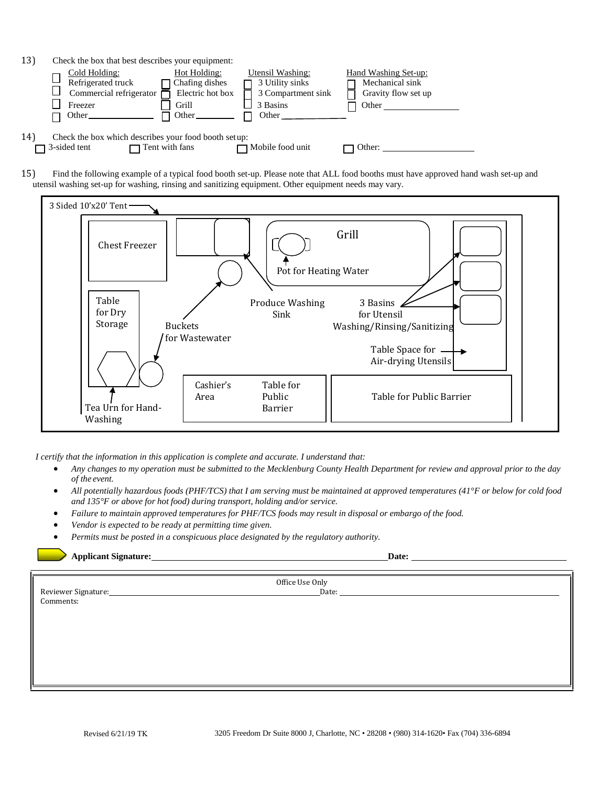| 13) | Check the box that best describes your equipment:                                  |                                                                      |                                                                                                |                                                                                                                       |  |
|-----|------------------------------------------------------------------------------------|----------------------------------------------------------------------|------------------------------------------------------------------------------------------------|-----------------------------------------------------------------------------------------------------------------------|--|
|     | Cold Holding:<br>Refrigerated truck<br>Commercial refrigerator<br>Freezer<br>Other | Hot Holding:<br>Chafing dishes<br>Electric hot box<br>Grill<br>Other | Utensil Washing:<br>3 Utility sinks<br>3 Compartment sink<br>3 Basins<br>Other <u>the same</u> | Hand Washing Set-up:<br>Mechanical sink<br>Gravity flow set up<br>Other                                               |  |
| 14) | Check the box which describes your food booth setup:<br>$\Box$ 3-sided tent        | $\Box$ Tent with fans                                                | $\Box$ Mobile food unit                                                                        | Other:                                                                                                                |  |
| 15) |                                                                                    |                                                                      |                                                                                                | Find the following example of a typical food booth set-up. Please note that ALL food booths must have approved hand w |  |

15) Find the following example of a typical food booth set-up. Please note that ALL food booths must have approved hand wash set-up and utensil washing set-up for washing, rinsing and sanitizing equipment. Other equipment needs may vary.



*I certify that the information in this application is complete and accurate. I understand that:*

- *Any changes to my operation must be submitted to the Mecklenburg County Health Department for review and approval prior to the day of the event.*
- *All potentially hazardous foods (PHF/TCS) that I am serving must be maintained at approved temperatures (41°F or below for cold food and 135°F or above for hot food) during transport, holding and/or service.*
- *Failure to maintain approved temperatures for PHF/TCS foods may result in disposal or embargo of the food.*
- *Vendor is expected to be ready at permitting time given.*
- *Permits must be posted in a conspicuous place designated by the regulatory authority.*

**Applicant Signature: Date:**

|                                               | Office Use Only |
|-----------------------------------------------|-----------------|
|                                               |                 |
|                                               |                 |
| Reviewer Signature:<br>Comments:<br>Comments: |                 |
|                                               |                 |
|                                               |                 |
|                                               |                 |
|                                               |                 |
|                                               |                 |
|                                               |                 |
|                                               |                 |
|                                               |                 |
|                                               |                 |
|                                               |                 |